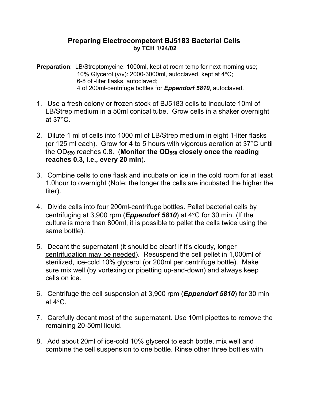## **Preparing Electrocompetent BJ5183 Bacterial Cells by TCH 1/24/02**

**Preparation**: LB/Streptomycine: 1000ml, kept at room temp for next morning use; 10% Glycerol (v/v): 2000-3000ml, autoclaved, kept at  $4^{\circ}$ C; 6-8 of -liter flasks, autoclaved; 4 of 200ml-centrifuge bottles for *Eppendorf 5810*, autoclaved.

- 1. Use a fresh colony or frozen stock of BJ5183 cells to inoculate 10ml of LB/Strep medium in a 50ml conical tube. Grow cells in a shaker overnight at  $37^{\circ}$ C.
- 2. Dilute 1 ml of cells into 1000 ml of LB/Strep medium in eight 1-liter flasks (or 125 ml each). Grow for 4 to 5 hours with vigorous aeration at  $37^{\circ}$ C until the OD550 reaches 0.8. (**Monitor the OD550 closely once the reading reaches 0.3, i.e., every 20 min**).
- 3. Combine cells to one flask and incubate on ice in the cold room for at least 1.0hour to overnight (Note: the longer the cells are incubated the higher the titer).
- 4. Divide cells into four 200ml-centrifuge bottles. Pellet bacterial cells by centrifuging at 3,900 rpm (**Eppendorf 5810**) at  $4^{\circ}$ C for 30 min. (If the culture is more than 800ml, it is possible to pellet the cells twice using the same bottle).
- 5. Decant the supernatant (it should be clear! If it's cloudy, longer centrifugation may be needed). Resuspend the cell pellet in 1,000ml of sterilized, ice-cold 10% glycerol (or 200ml per centrifuge bottle). Make sure mix well (by vortexing or pipetting up-and-down) and always keep cells on ice.
- 6. Centrifuge the cell suspension at 3,900 rpm (*Eppendorf 5810*) for 30 min at  $4^{\circ}$ C.
- 7. Carefully decant most of the supernatant. Use 10ml pipettes to remove the remaining 20-50ml liquid.
- 8. Add about 20ml of ice-cold 10% glycerol to each bottle, mix well and combine the cell suspension to one bottle. Rinse other three bottles with